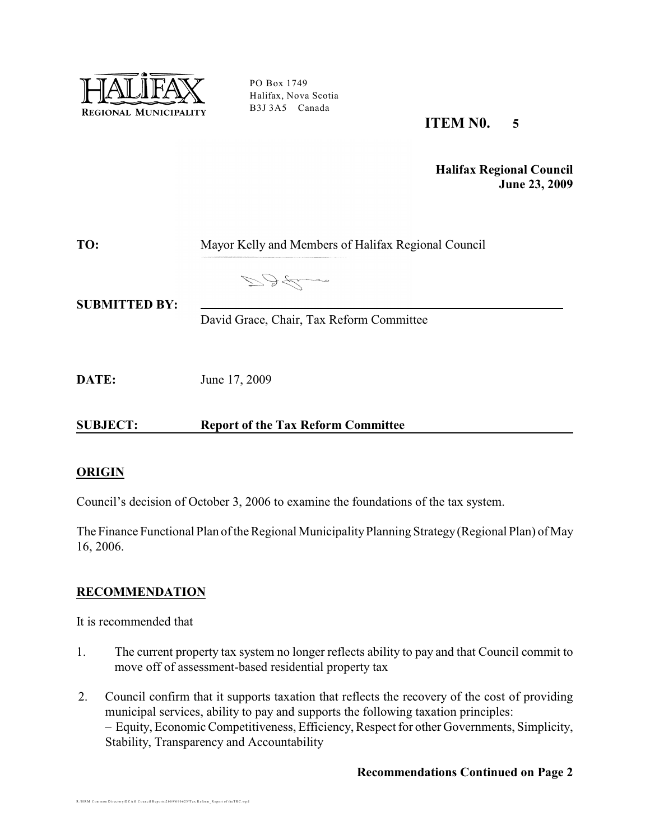

PO Box 1749 Halifax, Nova Scotia B3J 3A5 Canada

# **ITEM N0. 5**

**Halifax Regional Council June 23, 2009**

| TO:                  | Mayor Kelly and Members of Halifax Regional Council |  |
|----------------------|-----------------------------------------------------|--|
| <b>SUBMITTED BY:</b> | DALL                                                |  |
|                      | David Grace, Chair, Tax Reform Committee            |  |

**DATE:** June 17, 2009

**SUBJECT: Report of the Tax Reform Committee**

#### **ORIGIN**

Council's decision of October 3, 2006 to examine the foundations of the tax system.

The Finance Functional Plan of the Regional Municipality Planning Strategy (Regional Plan) of May 16, 2006.

# **RECOMMENDATION**

It is recommended that

R:\HRM Common Directory\DCAO Council Reports\2009\090623\Tax Reform Report of theTRC.wpd

- 1. The current property tax system no longer reflects ability to pay and that Council commit to move off of assessment-based residential property tax
- 2. Council confirm that it supports taxation that reflects the recovery of the cost of providing municipal services, ability to pay and supports the following taxation principles: – Equity, Economic Competitiveness, Efficiency, Respect for other Governments, Simplicity, Stability, Transparency and Accountability

#### **Recommendations Continued on Page 2**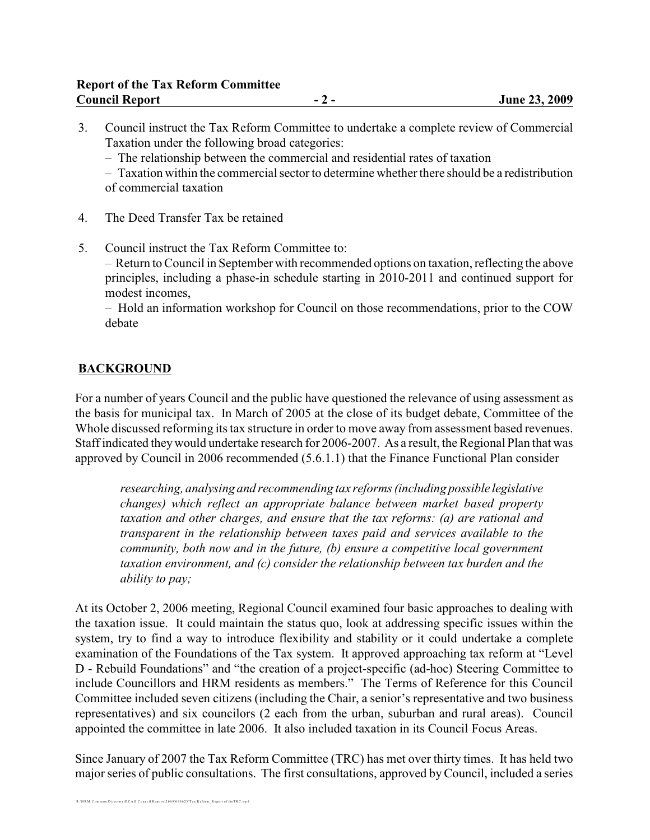- 3. Council instruct the Tax Reform Committee to undertake a complete review of Commercial Taxation under the following broad categories:
	- The relationship between the commercial and residential rates of taxation

– Taxation within the commercial sector to determine whether there should be a redistribution of commercial taxation

- 4. The Deed Transfer Tax be retained
- 5. Council instruct the Tax Reform Committee to:

– Return to Council in September with recommended options on taxation, reflecting the above principles, including a phase-in schedule starting in 2010-2011 and continued support for modest incomes,

– Hold an information workshop for Council on those recommendations, prior to the COW debate

# **BACKGROUND**

For a number of years Council and the public have questioned the relevance of using assessment as the basis for municipal tax. In March of 2005 at the close of its budget debate, Committee of the Whole discussed reforming its tax structure in order to move away from assessment based revenues. Staff indicated they would undertake research for 2006-2007. As a result, the Regional Plan that was approved by Council in 2006 recommended (5.6.1.1) that the Finance Functional Plan consider

*researching, analysing and recommending tax reforms (including possible legislative changes) which reflect an appropriate balance between market based property taxation and other charges, and ensure that the tax reforms: (a) are rational and transparent in the relationship between taxes paid and services available to the community, both now and in the future, (b) ensure a competitive local government taxation environment, and (c) consider the relationship between tax burden and the ability to pay;*

At its October 2, 2006 meeting, Regional Council examined four basic approaches to dealing with the taxation issue. It could maintain the status quo, look at addressing specific issues within the system, try to find a way to introduce flexibility and stability or it could undertake a complete examination of the Foundations of the Tax system. It approved approaching tax reform at "Level D - Rebuild Foundations" and "the creation of a project-specific (ad-hoc) Steering Committee to include Councillors and HRM residents as members." The Terms of Reference for this Council Committee included seven citizens (including the Chair, a senior's representative and two business representatives) and six councilors (2 each from the urban, suburban and rural areas). Council appointed the committee in late 2006. It also included taxation in its Council Focus Areas.

Since January of 2007 the Tax Reform Committee (TRC) has met over thirty times. It has held two major series of public consultations. The first consultations, approved by Council, included a series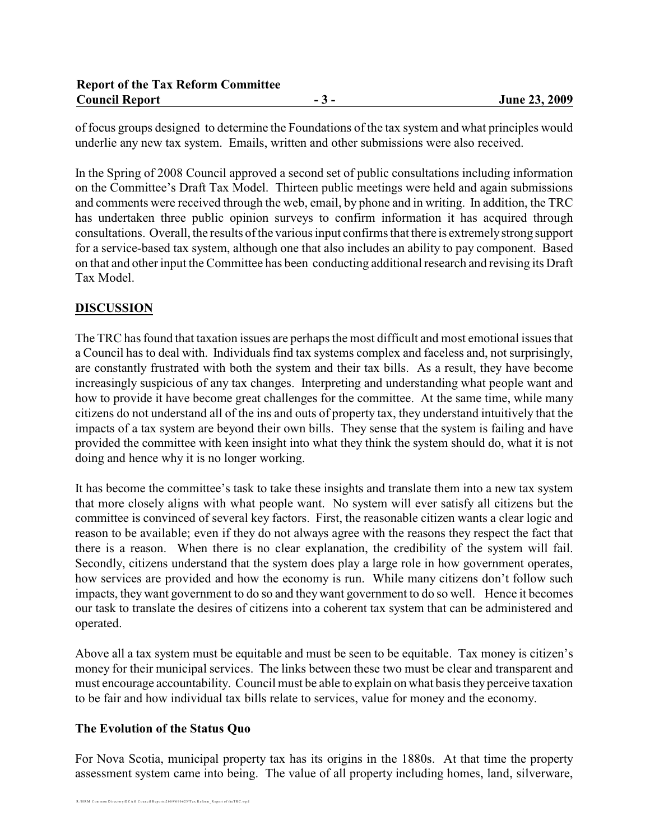of focus groups designed to determine the Foundations of the tax system and what principles would underlie any new tax system. Emails, written and other submissions were also received.

In the Spring of 2008 Council approved a second set of public consultations including information on the Committee's Draft Tax Model. Thirteen public meetings were held and again submissions and comments were received through the web, email, by phone and in writing. In addition, the TRC has undertaken three public opinion surveys to confirm information it has acquired through consultations. Overall, the results of the various input confirms that there is extremely strong support for a service-based tax system, although one that also includes an ability to pay component. Based on that and other input the Committee has been conducting additional research and revising its Draft Tax Model.

# **DISCUSSION**

The TRC has found that taxation issues are perhaps the most difficult and most emotional issues that a Council has to deal with. Individuals find tax systems complex and faceless and, not surprisingly, are constantly frustrated with both the system and their tax bills. As a result, they have become increasingly suspicious of any tax changes. Interpreting and understanding what people want and how to provide it have become great challenges for the committee. At the same time, while many citizens do not understand all of the ins and outs of property tax, they understand intuitively that the impacts of a tax system are beyond their own bills. They sense that the system is failing and have provided the committee with keen insight into what they think the system should do, what it is not doing and hence why it is no longer working.

It has become the committee's task to take these insights and translate them into a new tax system that more closely aligns with what people want. No system will ever satisfy all citizens but the committee is convinced of several key factors. First, the reasonable citizen wants a clear logic and reason to be available; even if they do not always agree with the reasons they respect the fact that there is a reason. When there is no clear explanation, the credibility of the system will fail. Secondly, citizens understand that the system does play a large role in how government operates, how services are provided and how the economy is run. While many citizens don't follow such impacts, they want government to do so and they want government to do so well. Hence it becomes our task to translate the desires of citizens into a coherent tax system that can be administered and operated.

Above all a tax system must be equitable and must be seen to be equitable. Tax money is citizen's money for their municipal services. The links between these two must be clear and transparent and must encourage accountability. Council must be able to explain on what basis they perceive taxation to be fair and how individual tax bills relate to services, value for money and the economy.

# **The Evolution of the Status Quo**

For Nova Scotia, municipal property tax has its origins in the 1880s. At that time the property assessment system came into being. The value of all property including homes, land, silverware,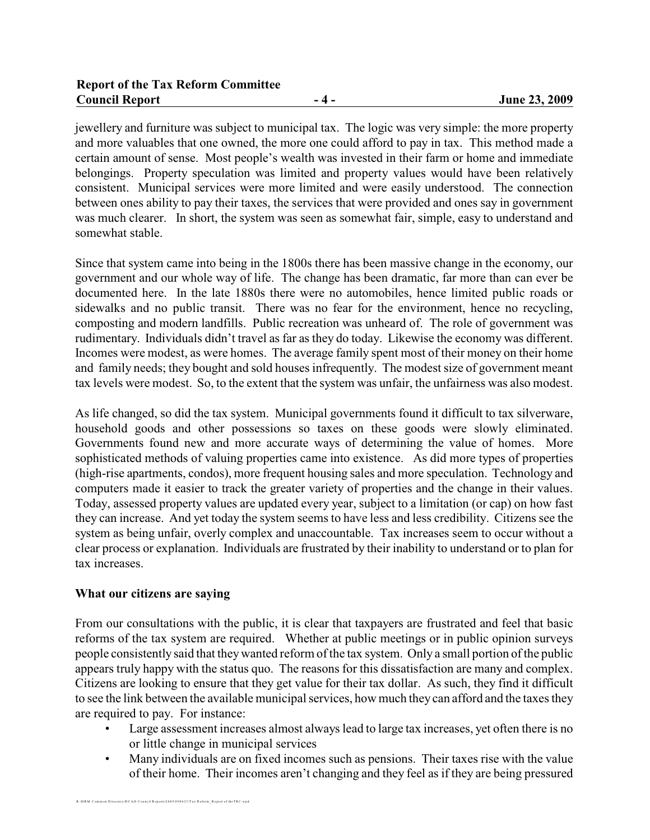jewellery and furniture was subject to municipal tax. The logic was very simple: the more property and more valuables that one owned, the more one could afford to pay in tax. This method made a certain amount of sense. Most people's wealth was invested in their farm or home and immediate belongings. Property speculation was limited and property values would have been relatively consistent. Municipal services were more limited and were easily understood. The connection between ones ability to pay their taxes, the services that were provided and ones say in government was much clearer. In short, the system was seen as somewhat fair, simple, easy to understand and somewhat stable.

Since that system came into being in the 1800s there has been massive change in the economy, our government and our whole way of life. The change has been dramatic, far more than can ever be documented here. In the late 1880s there were no automobiles, hence limited public roads or sidewalks and no public transit. There was no fear for the environment, hence no recycling, composting and modern landfills. Public recreation was unheard of. The role of government was rudimentary. Individuals didn't travel as far as they do today. Likewise the economy was different. Incomes were modest, as were homes. The average family spent most of their money on their home and family needs; they bought and sold houses infrequently. The modest size of government meant tax levels were modest. So, to the extent that the system was unfair, the unfairness was also modest.

As life changed, so did the tax system. Municipal governments found it difficult to tax silverware, household goods and other possessions so taxes on these goods were slowly eliminated. Governments found new and more accurate ways of determining the value of homes. More sophisticated methods of valuing properties came into existence. As did more types of properties (high-rise apartments, condos), more frequent housing sales and more speculation. Technology and computers made it easier to track the greater variety of properties and the change in their values. Today, assessed property values are updated every year, subject to a limitation (or cap) on how fast they can increase. And yet today the system seems to have less and less credibility. Citizens see the system as being unfair, overly complex and unaccountable. Tax increases seem to occur without a clear process or explanation. Individuals are frustrated by their inability to understand or to plan for tax increases.

#### **What our citizens are saying**

From our consultations with the public, it is clear that taxpayers are frustrated and feel that basic reforms of the tax system are required. Whether at public meetings or in public opinion surveys people consistently said that they wanted reform of the tax system. Only a small portion of the public appears truly happy with the status quo. The reasons for this dissatisfaction are many and complex. Citizens are looking to ensure that they get value for their tax dollar. As such, they find it difficult to see the link between the available municipal services, how much theycan afford and the taxes they are required to pay. For instance:

- Large assessment increases almost always lead to large tax increases, yet often there is no or little change in municipal services
- Many individuals are on fixed incomes such as pensions. Their taxes rise with the value of their home. Their incomes aren't changing and they feel as if they are being pressured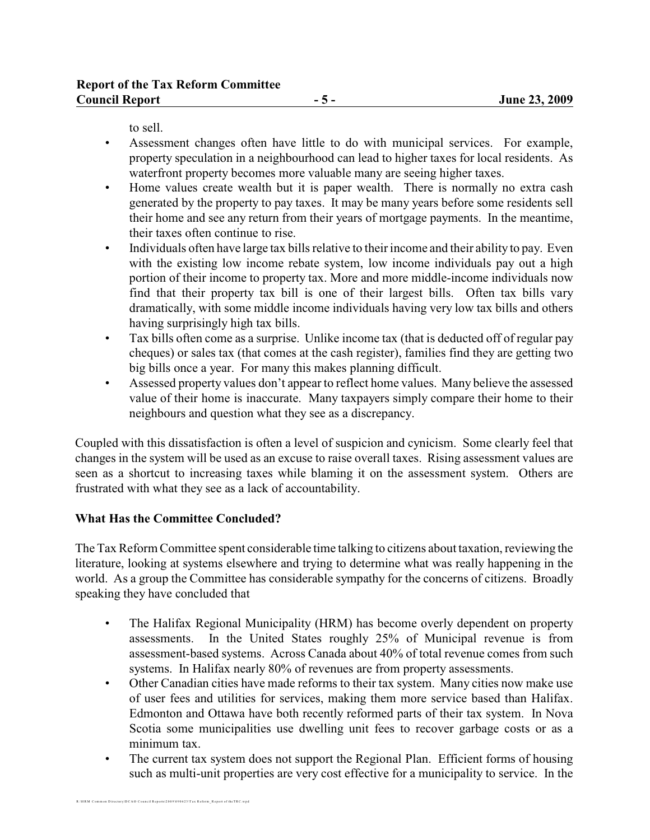to sell.

- Assessment changes often have little to do with municipal services. For example, property speculation in a neighbourhood can lead to higher taxes for local residents. As waterfront property becomes more valuable many are seeing higher taxes.
- Home values create wealth but it is paper wealth. There is normally no extra cash generated by the property to pay taxes. It may be many years before some residents sell their home and see any return from their years of mortgage payments. In the meantime, their taxes often continue to rise.
- Individuals often have large tax bills relative to their income and their ability to pay. Even with the existing low income rebate system, low income individuals pay out a high portion of their income to property tax. More and more middle-income individuals now find that their property tax bill is one of their largest bills. Often tax bills vary dramatically, with some middle income individuals having very low tax bills and others having surprisingly high tax bills.
- Tax bills often come as a surprise. Unlike income tax (that is deducted off of regular pay cheques) or sales tax (that comes at the cash register), families find they are getting two big bills once a year. For many this makes planning difficult.
- Assessed property values don't appear to reflect home values. Many believe the assessed value of their home is inaccurate. Many taxpayers simply compare their home to their neighbours and question what they see as a discrepancy.

Coupled with this dissatisfaction is often a level of suspicion and cynicism. Some clearly feel that changes in the system will be used as an excuse to raise overall taxes. Rising assessment values are seen as a shortcut to increasing taxes while blaming it on the assessment system. Others are frustrated with what they see as a lack of accountability.

# **What Has the Committee Concluded?**

The Tax Reform Committee spent considerable time talking to citizens about taxation, reviewing the literature, looking at systems elsewhere and trying to determine what was really happening in the world. As a group the Committee has considerable sympathy for the concerns of citizens. Broadly speaking they have concluded that

- The Halifax Regional Municipality (HRM) has become overly dependent on property assessments. In the United States roughly 25% of Municipal revenue is from assessment-based systems. Across Canada about 40% of total revenue comes from such systems. In Halifax nearly 80% of revenues are from property assessments.
- Other Canadian cities have made reforms to their tax system. Many cities now make use of user fees and utilities for services, making them more service based than Halifax. Edmonton and Ottawa have both recently reformed parts of their tax system. In Nova Scotia some municipalities use dwelling unit fees to recover garbage costs or as a minimum tax.
- The current tax system does not support the Regional Plan. Efficient forms of housing such as multi-unit properties are very cost effective for a municipality to service. In the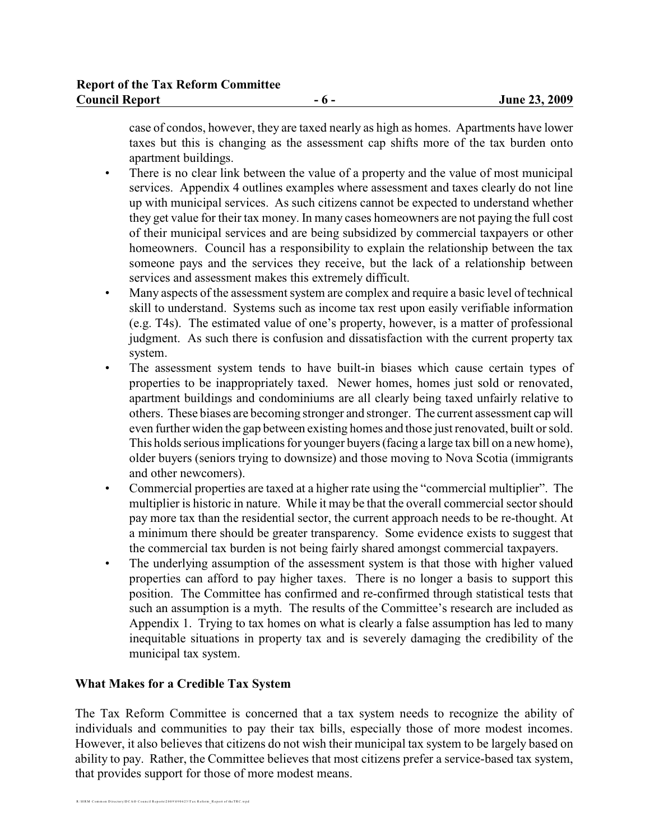case of condos, however, they are taxed nearly as high as homes. Apartments have lower taxes but this is changing as the assessment cap shifts more of the tax burden onto apartment buildings.

- There is no clear link between the value of a property and the value of most municipal services. Appendix 4 outlines examples where assessment and taxes clearly do not line up with municipal services. As such citizens cannot be expected to understand whether they get value for their tax money. In many cases homeowners are not paying the full cost of their municipal services and are being subsidized by commercial taxpayers or other homeowners. Council has a responsibility to explain the relationship between the tax someone pays and the services they receive, but the lack of a relationship between services and assessment makes this extremely difficult.
- Many aspects of the assessment system are complex and require a basic level of technical skill to understand. Systems such as income tax rest upon easily verifiable information (e.g. T4s). The estimated value of one's property, however, is a matter of professional judgment. As such there is confusion and dissatisfaction with the current property tax system.
- The assessment system tends to have built-in biases which cause certain types of properties to be inappropriately taxed. Newer homes, homes just sold or renovated, apartment buildings and condominiums are all clearly being taxed unfairly relative to others. These biases are becoming stronger and stronger. The current assessment cap will even further widen the gap between existing homes and those just renovated, built or sold. This holds serious implications for younger buyers (facing a large tax bill on a new home), older buyers (seniors trying to downsize) and those moving to Nova Scotia (immigrants and other newcomers).
- Commercial properties are taxed at a higher rate using the "commercial multiplier". The multiplier is historic in nature. While it may be that the overall commercial sector should pay more tax than the residential sector, the current approach needs to be re-thought. At a minimum there should be greater transparency. Some evidence exists to suggest that the commercial tax burden is not being fairly shared amongst commercial taxpayers.
- The underlying assumption of the assessment system is that those with higher valued properties can afford to pay higher taxes. There is no longer a basis to support this position. The Committee has confirmed and re-confirmed through statistical tests that such an assumption is a myth. The results of the Committee's research are included as Appendix 1. Trying to tax homes on what is clearly a false assumption has led to many inequitable situations in property tax and is severely damaging the credibility of the municipal tax system.

# **What Makes for a Credible Tax System**

The Tax Reform Committee is concerned that a tax system needs to recognize the ability of individuals and communities to pay their tax bills, especially those of more modest incomes. However, it also believes that citizens do not wish their municipal tax system to be largely based on ability to pay. Rather, the Committee believes that most citizens prefer a service-based tax system, that provides support for those of more modest means.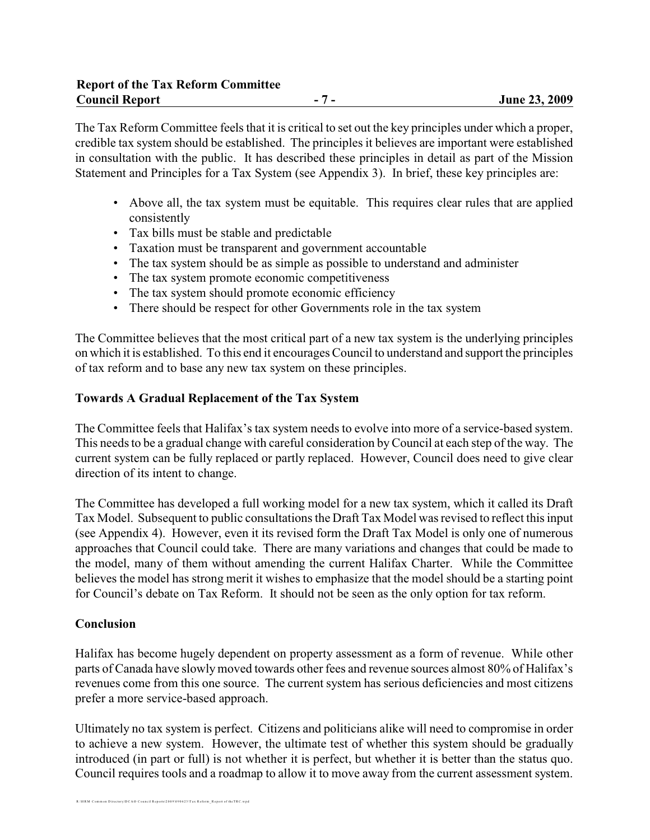The Tax Reform Committee feels that it is critical to set out the key principles under which a proper, credible tax system should be established. The principles it believes are important were established in consultation with the public. It has described these principles in detail as part of the Mission Statement and Principles for a Tax System (see Appendix 3). In brief, these key principles are:

- Above all, the tax system must be equitable. This requires clear rules that are applied consistently
- Tax bills must be stable and predictable
- Taxation must be transparent and government accountable
- The tax system should be as simple as possible to understand and administer
- The tax system promote economic competitiveness
- The tax system should promote economic efficiency
- There should be respect for other Governments role in the tax system

The Committee believes that the most critical part of a new tax system is the underlying principles on which it is established. To this end it encourages Council to understand and support the principles of tax reform and to base any new tax system on these principles.

#### **Towards A Gradual Replacement of the Tax System**

The Committee feels that Halifax's tax system needs to evolve into more of a service-based system. This needs to be a gradual change with careful consideration by Council at each step of the way. The current system can be fully replaced or partly replaced. However, Council does need to give clear direction of its intent to change.

The Committee has developed a full working model for a new tax system, which it called its Draft Tax Model. Subsequent to public consultations the Draft Tax Model was revised to reflect this input (see Appendix 4). However, even it its revised form the Draft Tax Model is only one of numerous approaches that Council could take. There are many variations and changes that could be made to the model, many of them without amending the current Halifax Charter. While the Committee believes the model has strong merit it wishes to emphasize that the model should be a starting point for Council's debate on Tax Reform. It should not be seen as the only option for tax reform.

#### **Conclusion**

Halifax has become hugely dependent on property assessment as a form of revenue. While other parts of Canada have slowly moved towards other fees and revenue sources almost 80% of Halifax's revenues come from this one source. The current system has serious deficiencies and most citizens prefer a more service-based approach.

Ultimately no tax system is perfect. Citizens and politicians alike will need to compromise in order to achieve a new system. However, the ultimate test of whether this system should be gradually introduced (in part or full) is not whether it is perfect, but whether it is better than the status quo. Council requires tools and a roadmap to allow it to move away from the current assessment system.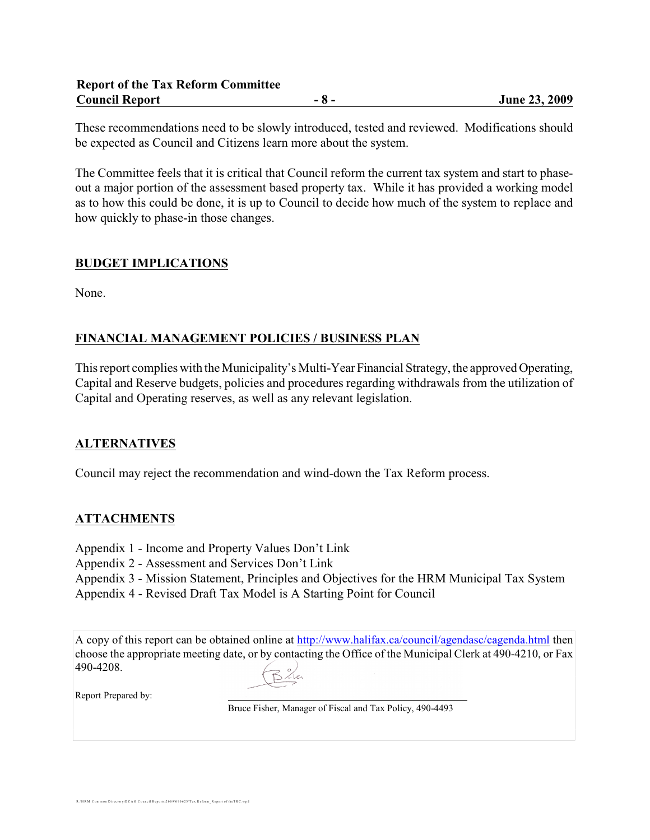These recommendations need to be slowly introduced, tested and reviewed. Modifications should be expected as Council and Citizens learn more about the system.

The Committee feels that it is critical that Council reform the current tax system and start to phaseout a major portion of the assessment based property tax. While it has provided a working model as to how this could be done, it is up to Council to decide how much of the system to replace and how quickly to phase-in those changes.

## **BUDGET IMPLICATIONS**

None.

# **FINANCIAL MANAGEMENT POLICIES / BUSINESS PLAN**

This report complies with the Municipality's Multi-Year Financial Strategy, the approved Operating, Capital and Reserve budgets, policies and procedures regarding withdrawals from the utilization of Capital and Operating reserves, as well as any relevant legislation.

# **ALTERNATIVES**

Council may reject the recommendation and wind-down the Tax Reform process.

# **ATTACHMENTS**

- Appendix 1 Income and Property Values Don't Link
- Appendix 2 Assessment and Services Don't Link
- Appendix 3 Mission Statement, Principles and Objectives for the HRM Municipal Tax System

Appendix 4 - Revised Draft Tax Model is A Starting Point for Council

A copy of this report can be obtained online at<http://www.halifax.ca/council/agendasc/cagenda.html> then choose the appropriate meeting date, or by contacting the Office of the Municipal Clerk at 490-4210, or Fax 490-4208.

Report Prepared by:

Bruce Fisher, Manager of Fiscal and Tax Policy, 490-4493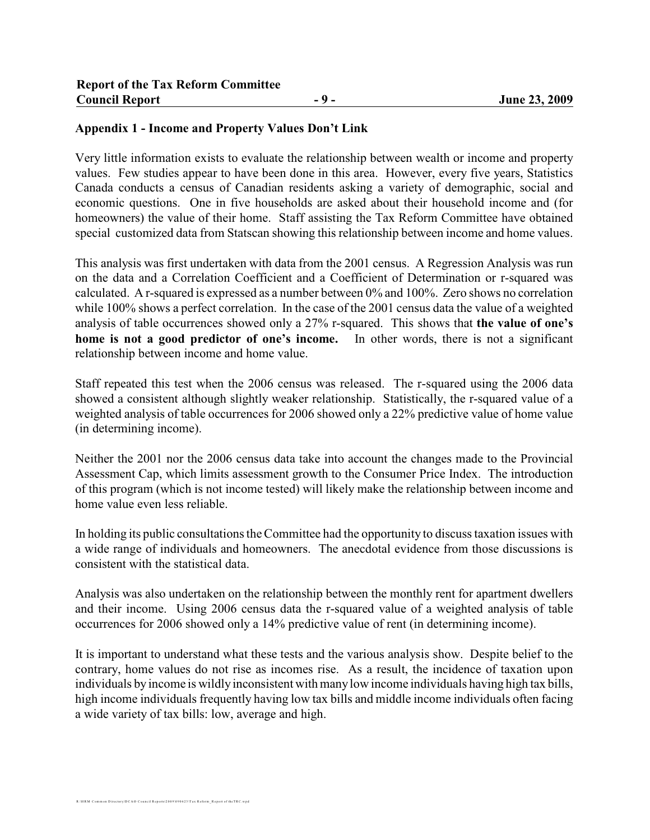## **Appendix 1 - Income and Property Values Don't Link**

Very little information exists to evaluate the relationship between wealth or income and property values. Few studies appear to have been done in this area. However, every five years, Statistics Canada conducts a census of Canadian residents asking a variety of demographic, social and economic questions. One in five households are asked about their household income and (for homeowners) the value of their home. Staff assisting the Tax Reform Committee have obtained special customized data from Statscan showing this relationship between income and home values.

This analysis was first undertaken with data from the 2001 census. A Regression Analysis was run on the data and a Correlation Coefficient and a Coefficient of Determination or r-squared was calculated. A r-squared is expressed as a number between 0% and 100%. Zero shows no correlation while 100% shows a perfect correlation. In the case of the 2001 census data the value of a weighted analysis of table occurrences showed only a 27% r-squared. This shows that **the value of one's home is not a good predictor of one's income.** In other words, there is not a significant relationship between income and home value.

Staff repeated this test when the 2006 census was released. The r-squared using the 2006 data showed a consistent although slightly weaker relationship. Statistically, the r-squared value of a weighted analysis of table occurrences for 2006 showed only a 22% predictive value of home value (in determining income).

Neither the 2001 nor the 2006 census data take into account the changes made to the Provincial Assessment Cap, which limits assessment growth to the Consumer Price Index. The introduction of this program (which is not income tested) will likely make the relationship between income and home value even less reliable.

In holding its public consultations the Committee had the opportunity to discuss taxation issues with a wide range of individuals and homeowners. The anecdotal evidence from those discussions is consistent with the statistical data.

Analysis was also undertaken on the relationship between the monthly rent for apartment dwellers and their income. Using 2006 census data the r-squared value of a weighted analysis of table occurrences for 2006 showed only a 14% predictive value of rent (in determining income).

It is important to understand what these tests and the various analysis show. Despite belief to the contrary, home values do not rise as incomes rise. As a result, the incidence of taxation upon individuals by income is wildly inconsistent with manylow income individuals having high tax bills, high income individuals frequently having low tax bills and middle income individuals often facing a wide variety of tax bills: low, average and high.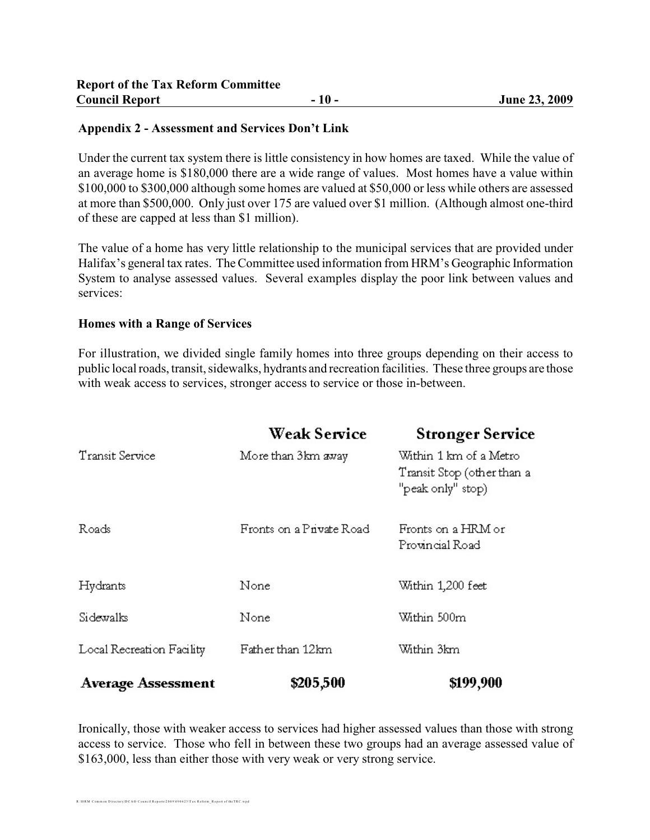#### **Appendix 2 - Assessment and Services Don't Link**

Under the current tax system there is little consistency in how homes are taxed. While the value of an average home is \$180,000 there are a wide range of values. Most homes have a value within \$100,000 to \$300,000 although some homes are valued at \$50,000 or less while others are assessed at more than \$500,000. Only just over 175 are valued over \$1 million. (Although almost one-third of these are capped at less than \$1 million).

The value of a home has very little relationship to the municipal services that are provided under Halifax's general tax rates. The Committee used information from HRM's Geographic Information System to analyse assessed values. Several examples display the poor link between values and services:

#### **Homes with a Range of Services**

For illustration, we divided single family homes into three groups depending on their access to public local roads, transit, sidewalks, hydrants and recreation facilities. These three groups are those with weak access to services, stronger access to service or those in-between.

|                           | <b>Weak Service</b>      | <b>Stronger Service</b>                                                   |
|---------------------------|--------------------------|---------------------------------------------------------------------------|
| Transit Service           | More than 3km away       | Within 1 km of a Metro<br>Transit Stop (other than a<br>"peak only" stop) |
| Roads                     | Fronts on a Private Road | Fronts on a HRM or<br>Provincial Road                                     |
| Hydrants                  | None                     | Within 1,200 feet                                                         |
| Sidewalks                 | None                     | Within 500m                                                               |
| Local Recreation Facility | Father than 12km         | Within 3km                                                                |
| <b>Average Assessment</b> | \$205,500                | \$199,900                                                                 |

Ironically, those with weaker access to services had higher assessed values than those with strong access to service. Those who fell in between these two groups had an average assessed value of \$163,000, less than either those with very weak or very strong service.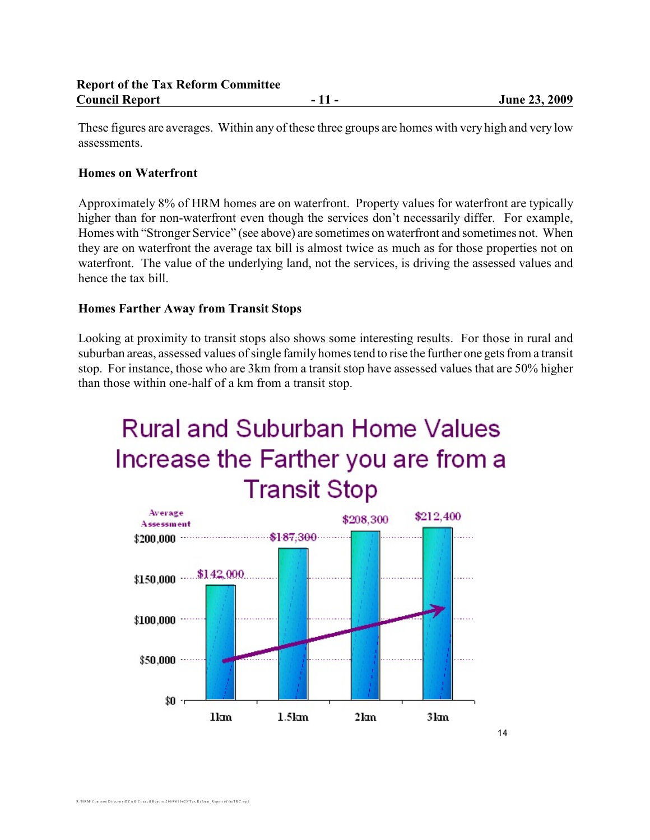These figures are averages. Within any of these three groups are homes with very high and very low assessments.

#### **Homes on Waterfront**

Approximately 8% of HRM homes are on waterfront. Property values for waterfront are typically higher than for non-waterfront even though the services don't necessarily differ. For example, Homes with "Stronger Service" (see above) are sometimes on waterfront and sometimes not. When they are on waterfront the average tax bill is almost twice as much as for those properties not on waterfront. The value of the underlying land, not the services, is driving the assessed values and hence the tax bill.

#### **Homes Farther Away from Transit Stops**

Looking at proximity to transit stops also shows some interesting results. For those in rural and suburban areas, assessed values of single family homes tend to rise the further one gets from a transit stop. For instance, those who are 3km from a transit stop have assessed values that are 50% higher than those within one-half of a km from a transit stop.

# **Rural and Suburban Home Values** Increase the Farther you are from a **Transit Stop**

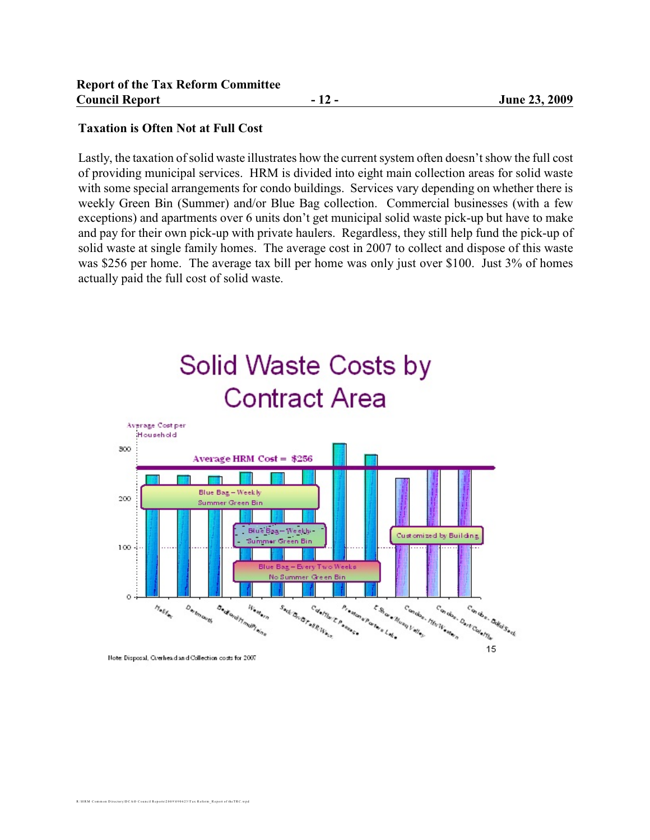#### **Taxation is Often Not at Full Cost**

Lastly, the taxation ofsolid waste illustrates how the current system often doesn't show the full cost of providing municipal services. HRM is divided into eight main collection areas for solid waste with some special arrangements for condo buildings. Services vary depending on whether there is weekly Green Bin (Summer) and/or Blue Bag collection. Commercial businesses (with a few exceptions) and apartments over 6 units don't get municipal solid waste pick-up but have to make and pay for their own pick-up with private haulers. Regardless, they still help fund the pick-up of solid waste at single family homes. The average cost in 2007 to collect and dispose of this waste was \$256 per home. The average tax bill per home was only just over \$100. Just 3% of homes actually paid the full cost of solid waste.



Hote Disposal, Overhead and Collection costs for 2007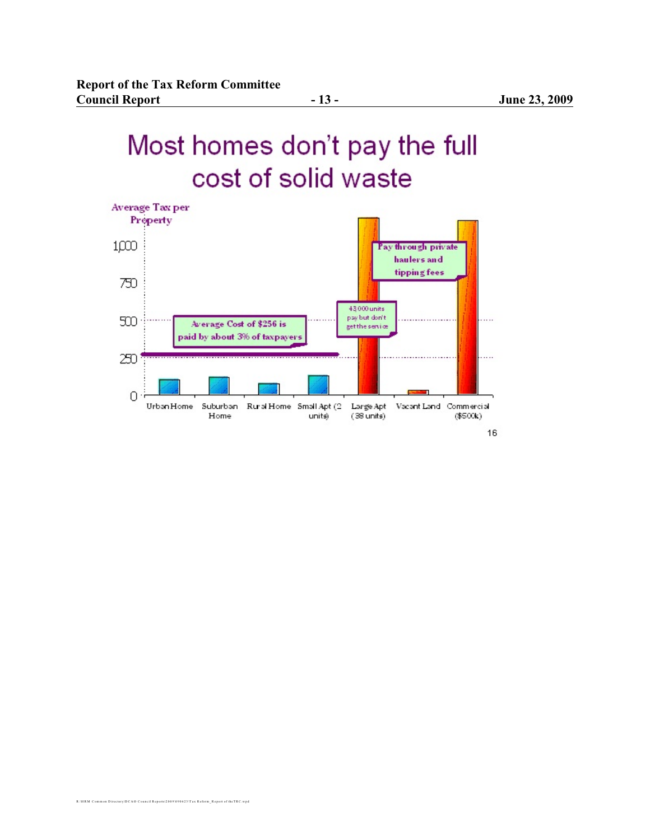# Most homes don't pay the full cost of solid waste



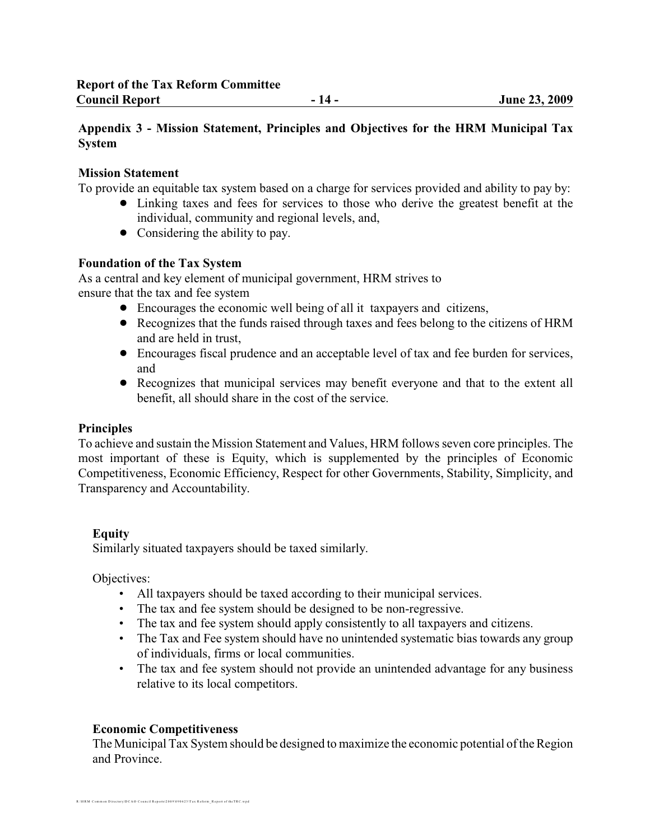# **Appendix 3 - Mission Statement, Principles and Objectives for the HRM Municipal Tax System**

## **Mission Statement**

To provide an equitable tax system based on a charge for services provided and ability to pay by:

- Linking taxes and fees for services to those who derive the greatest benefit at the individual, community and regional levels, and,
- Considering the ability to pay.

## **Foundation of the Tax System**

As a central and key element of municipal government, HRM strives to ensure that the tax and fee system

- ! Encourages the economic well being of all it taxpayers and citizens,
- ! Recognizes that the funds raised through taxes and fees belong to the citizens of HRM and are held in trust,
- ! Encourages fiscal prudence and an acceptable level of tax and fee burden for services, and
- ! Recognizes that municipal services may benefit everyone and that to the extent all benefit, all should share in the cost of the service.

# **Principles**

To achieve and sustain the Mission Statement and Values, HRM follows seven core principles. The most important of these is Equity, which is supplemented by the principles of Economic Competitiveness, Economic Efficiency, Respect for other Governments, Stability, Simplicity, and Transparency and Accountability.

#### **Equity**

Similarly situated taxpayers should be taxed similarly.

Objectives:

- All taxpayers should be taxed according to their municipal services.
- The tax and fee system should be designed to be non-regressive.
- The tax and fee system should apply consistently to all taxpayers and citizens.
- The Tax and Fee system should have no unintended systematic bias towards any group of individuals, firms or local communities.
- The tax and fee system should not provide an unintended advantage for any business relative to its local competitors.

# **Economic Competitiveness**

The Municipal Tax System should be designed to maximize the economic potential of the Region and Province.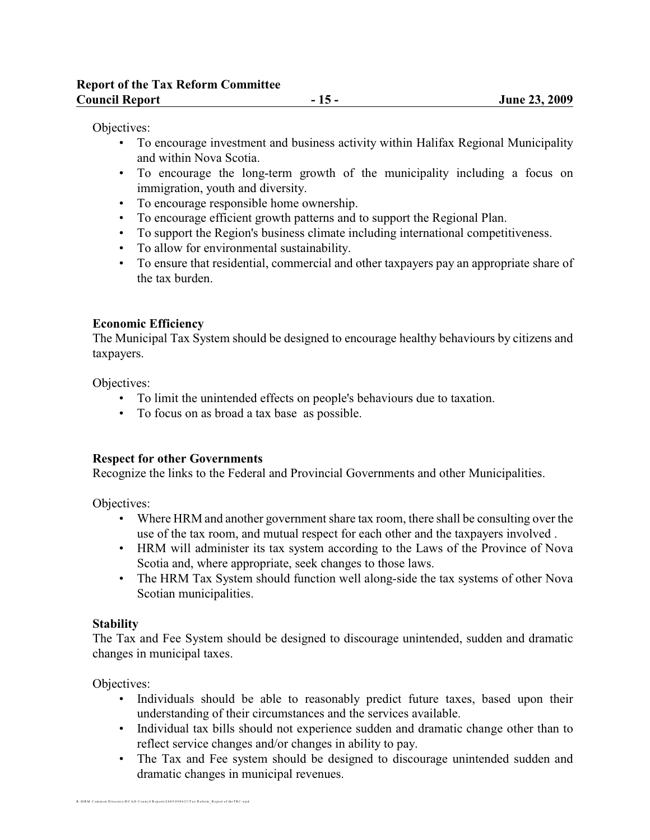Objectives:

- To encourage investment and business activity within Halifax Regional Municipality and within Nova Scotia.
- To encourage the long-term growth of the municipality including a focus on immigration, youth and diversity.
- To encourage responsible home ownership.
- To encourage efficient growth patterns and to support the Regional Plan.
- To support the Region's business climate including international competitiveness.
- To allow for environmental sustainability.
- To ensure that residential, commercial and other taxpayers pay an appropriate share of the tax burden.

#### **Economic Efficiency**

The Municipal Tax System should be designed to encourage healthy behaviours by citizens and taxpayers.

Objectives:

- To limit the unintended effects on people's behaviours due to taxation.
- To focus on as broad a tax base as possible.

#### **Respect for other Governments**

Recognize the links to the Federal and Provincial Governments and other Municipalities.

Objectives:

- Where HRM and another government share tax room, there shall be consulting over the use of the tax room, and mutual respect for each other and the taxpayers involved .
- HRM will administer its tax system according to the Laws of the Province of Nova Scotia and, where appropriate, seek changes to those laws.
- The HRM Tax System should function well along-side the tax systems of other Nova Scotian municipalities.

#### **Stability**

The Tax and Fee System should be designed to discourage unintended, sudden and dramatic changes in municipal taxes.

Objectives:

- Individuals should be able to reasonably predict future taxes, based upon their understanding of their circumstances and the services available.
- Individual tax bills should not experience sudden and dramatic change other than to reflect service changes and/or changes in ability to pay.
- The Tax and Fee system should be designed to discourage unintended sudden and dramatic changes in municipal revenues.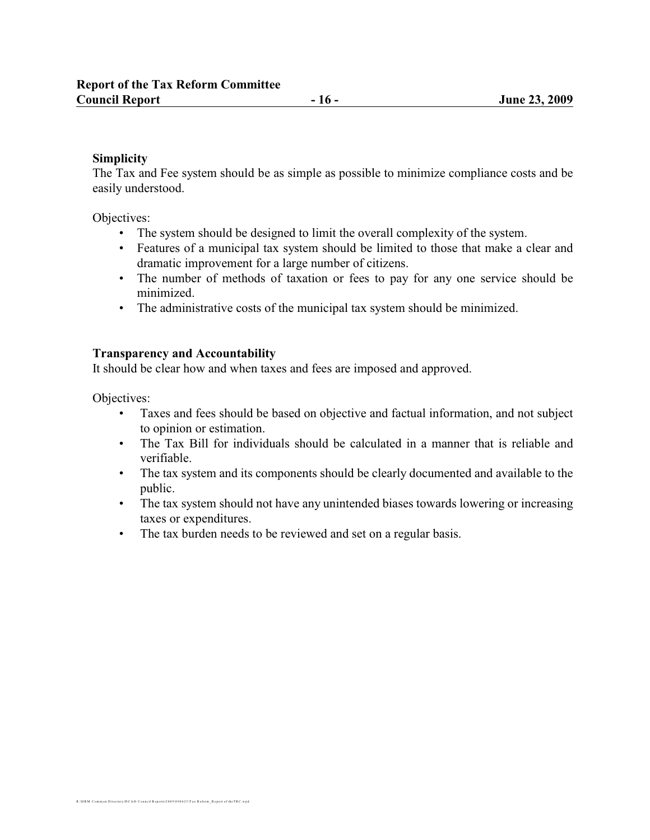#### **Simplicity**

The Tax and Fee system should be as simple as possible to minimize compliance costs and be easily understood.

Objectives:

- The system should be designed to limit the overall complexity of the system.
- Features of a municipal tax system should be limited to those that make a clear and dramatic improvement for a large number of citizens.
- The number of methods of taxation or fees to pay for any one service should be minimized.
- The administrative costs of the municipal tax system should be minimized.

#### **Transparency and Accountability**

It should be clear how and when taxes and fees are imposed and approved.

Objectives:

- Taxes and fees should be based on objective and factual information, and not subject to opinion or estimation.
- The Tax Bill for individuals should be calculated in a manner that is reliable and verifiable.
- The tax system and its components should be clearly documented and available to the public.
- The tax system should not have any unintended biases towards lowering or increasing taxes or expenditures.
- The tax burden needs to be reviewed and set on a regular basis.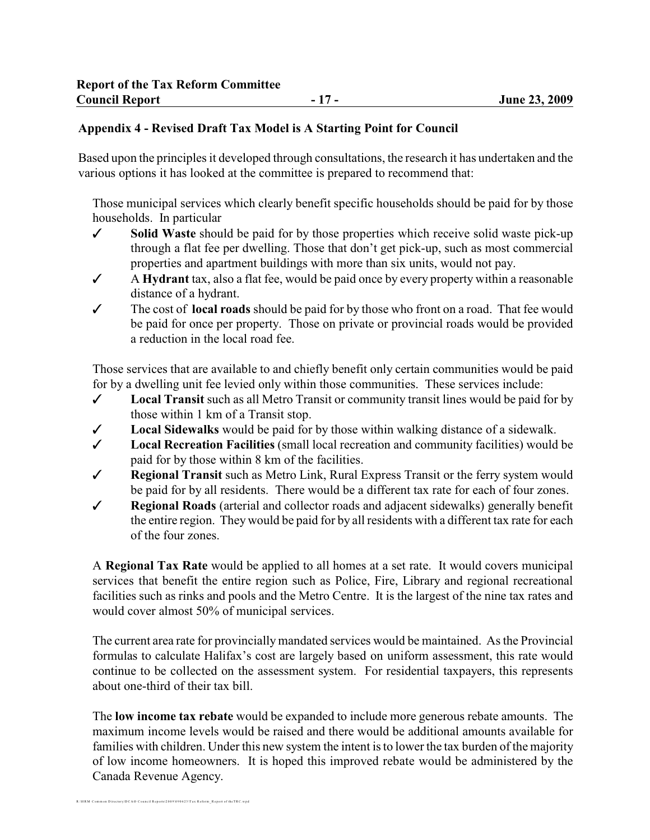## **Appendix 4 - Revised Draft Tax Model is A Starting Point for Council**

Based upon the principles it developed through consultations, the research it has undertaken and the various options it has looked at the committee is prepared to recommend that:

Those municipal services which clearly benefit specific households should be paid for by those households. In particular

- $\checkmark$  Solid Waste should be paid for by those properties which receive solid waste pick-up through a flat fee per dwelling. Those that don't get pick-up, such as most commercial properties and apartment buildings with more than six units, would not pay.
- $\checkmark$  A **Hydrant** tax, also a flat fee, would be paid once by every property within a reasonable distance of a hydrant.
- The cost of **local roads** should be paid for by those who front on a road. That fee would be paid for once per property. Those on private or provincial roads would be provided a reduction in the local road fee.

Those services that are available to and chiefly benefit only certain communities would be paid for by a dwelling unit fee levied only within those communities. These services include:

- $\checkmark$  Local Transit such as all Metro Transit or community transit lines would be paid for by those within 1 km of a Transit stop.
- $\checkmark$  Local Sidewalks would be paid for by those within walking distance of a sidewalk.
- T **Local Recreation Facilities** (small local recreation and community facilities) would be paid for by those within 8 km of the facilities.
- T **Regional Transit** such as Metro Link, Rural Express Transit or the ferry system would be paid for by all residents. There would be a different tax rate for each of four zones.
- T **Regional Roads** (arterial and collector roads and adjacent sidewalks) generally benefit the entire region. They would be paid for by all residents with a different tax rate for each of the four zones.

A **Regional Tax Rate** would be applied to all homes at a set rate. It would covers municipal services that benefit the entire region such as Police, Fire, Library and regional recreational facilities such as rinks and pools and the Metro Centre. It is the largest of the nine tax rates and would cover almost 50% of municipal services.

The current area rate for provincially mandated services would be maintained. As the Provincial formulas to calculate Halifax's cost are largely based on uniform assessment, this rate would continue to be collected on the assessment system. For residential taxpayers, this represents about one-third of their tax bill.

The **low income tax rebate** would be expanded to include more generous rebate amounts. The maximum income levels would be raised and there would be additional amounts available for families with children. Under this new system the intent is to lower the tax burden of the majority of low income homeowners. It is hoped this improved rebate would be administered by the Canada Revenue Agency.